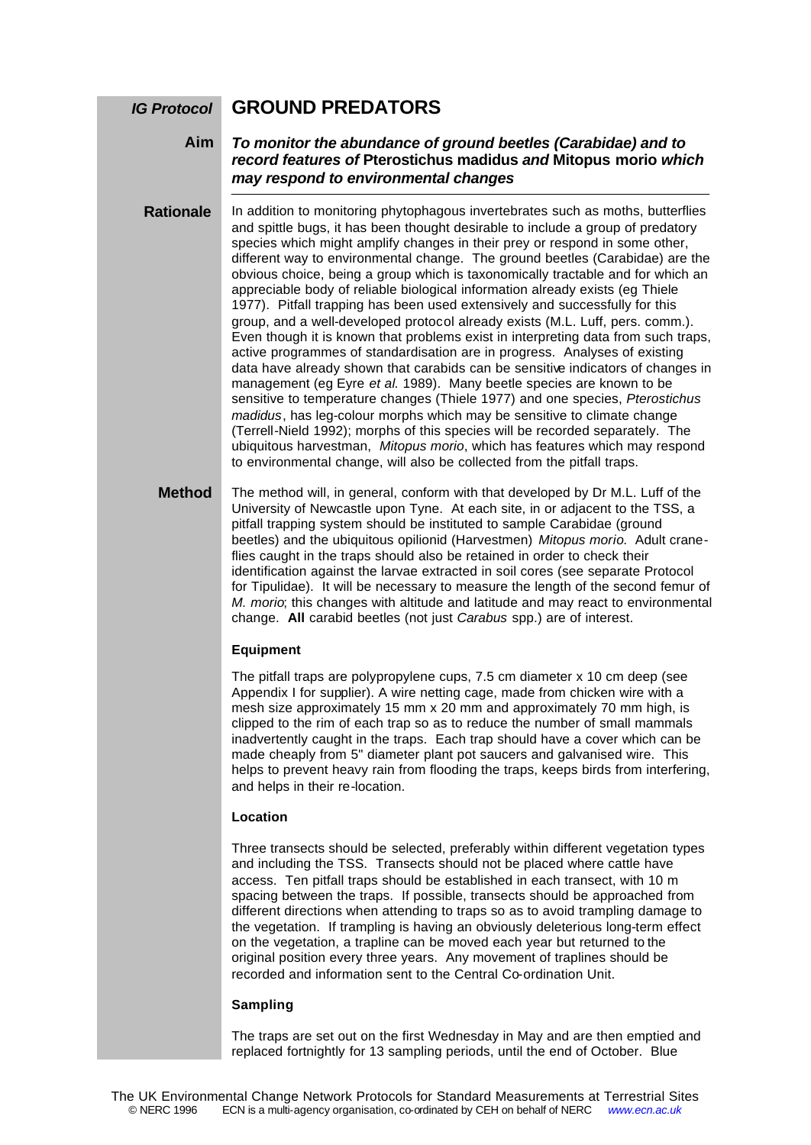#### **GROUND PREDATORS** *IG Protocol*

### *To monitor the abundance of ground beetles (Carabidae) and to record features of* **Pterostichus madidus** *and* **Mitopus morio** *which may respond to environmental changes* **Aim**

In addition to monitoring phytophagous invertebrates such as moths, butterflies and spittle bugs, it has been thought desirable to include a group of predatory species which might amplify changes in their prey or respond in some other, different way to environmental change. The ground beetles (Carabidae) are the obvious choice, being a group which is taxonomically tractable and for which an appreciable body of reliable biological information already exists (eg Thiele 1977). Pitfall trapping has been used extensively and successfully for this group, and a well-developed protocol already exists (M.L. Luff, pers. comm.). Even though it is known that problems exist in interpreting data from such traps, active programmes of standardisation are in progress. Analyses of existing data have already shown that carabids can be sensitive indicators of changes in management (eg Eyre *et al.* 1989). Many beetle species are known to be sensitive to temperature changes (Thiele 1977) and one species, *Pterostichus madidus*, has leg-colour morphs which may be sensitive to climate change (Terrell-Nield 1992); morphs of this species will be recorded separately. The ubiquitous harvestman, *Mitopus morio*, which has features which may respond to environmental change, will also be collected from the pitfall traps. **Rationale**

The method will, in general, conform with that developed by Dr M.L. Luff of the University of Newcastle upon Tyne. At each site, in or adjacent to the TSS, a pitfall trapping system should be instituted to sample Carabidae (ground beetles) and the ubiquitous opilionid (Harvestmen) *Mitopus morio*. Adult craneflies caught in the traps should also be retained in order to check their identification against the larvae extracted in soil cores (see separate Protocol for Tipulidae). It will be necessary to measure the length of the second femur of *M. morio*; this changes with altitude and latitude and may react to environmental change. **All** carabid beetles (not just *Carabus* spp.) are of interest. **Method**

### **Equipment**

The pitfall traps are polypropylene cups, 7.5 cm diameter x 10 cm deep (see Appendix I for supplier). A wire netting cage, made from chicken wire with a mesh size approximately 15 mm x 20 mm and approximately 70 mm high, is clipped to the rim of each trap so as to reduce the number of small mammals inadvertently caught in the traps. Each trap should have a cover which can be made cheaply from 5" diameter plant pot saucers and galvanised wire. This helps to prevent heavy rain from flooding the traps, keeps birds from interfering, and helps in their re-location.

### **Location**

Three transects should be selected, preferably within different vegetation types and including the TSS. Transects should not be placed where cattle have access. Ten pitfall traps should be established in each transect, with 10 m spacing between the traps. If possible, transects should be approached from different directions when attending to traps so as to avoid trampling damage to the vegetation. If trampling is having an obviously deleterious long-term effect on the vegetation, a trapline can be moved each year but returned to the original position every three years. Any movement of traplines should be recorded and information sent to the Central Co-ordination Unit.

### **Sampling**

The traps are set out on the first Wednesday in May and are then emptied and replaced fortnightly for 13 sampling periods, until the end of October. Blue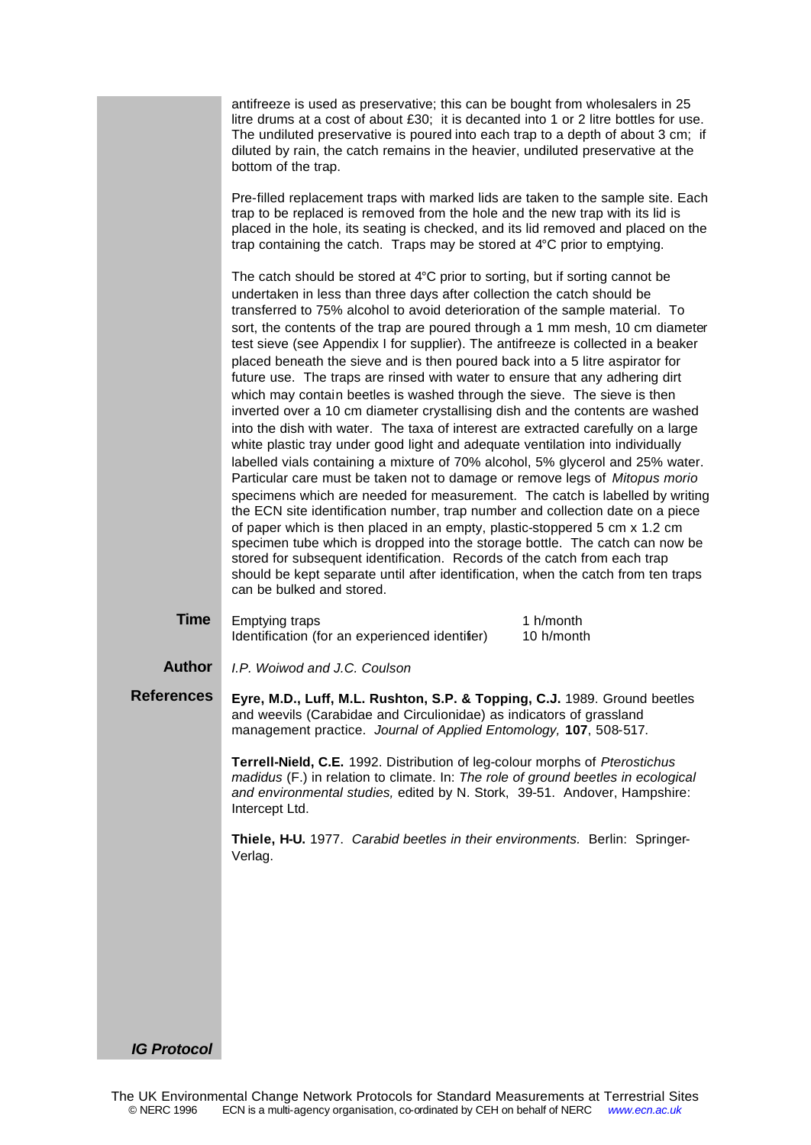|                   | antifreeze is used as preservative; this can be bought from wholesalers in 25<br>litre drums at a cost of about £30; it is decanted into 1 or 2 litre bottles for use.<br>The undiluted preservative is poured into each trap to a depth of about 3 cm; if<br>diluted by rain, the catch remains in the heavier, undiluted preservative at the<br>bottom of the trap.                                                                                                                                                                                                                                                                                                                                                                                                                                                                                                                                                                                                                                                                                                                                                                                                                                                                                                                                                                                                                                                                                                                                                                                                                                                        |  |  |
|-------------------|------------------------------------------------------------------------------------------------------------------------------------------------------------------------------------------------------------------------------------------------------------------------------------------------------------------------------------------------------------------------------------------------------------------------------------------------------------------------------------------------------------------------------------------------------------------------------------------------------------------------------------------------------------------------------------------------------------------------------------------------------------------------------------------------------------------------------------------------------------------------------------------------------------------------------------------------------------------------------------------------------------------------------------------------------------------------------------------------------------------------------------------------------------------------------------------------------------------------------------------------------------------------------------------------------------------------------------------------------------------------------------------------------------------------------------------------------------------------------------------------------------------------------------------------------------------------------------------------------------------------------|--|--|
|                   | Pre-filled replacement traps with marked lids are taken to the sample site. Each<br>trap to be replaced is removed from the hole and the new trap with its lid is<br>placed in the hole, its seating is checked, and its lid removed and placed on the<br>trap containing the catch. Traps may be stored at 4°C prior to emptying.                                                                                                                                                                                                                                                                                                                                                                                                                                                                                                                                                                                                                                                                                                                                                                                                                                                                                                                                                                                                                                                                                                                                                                                                                                                                                           |  |  |
|                   | The catch should be stored at $4^{\circ}$ C prior to sorting, but if sorting cannot be<br>undertaken in less than three days after collection the catch should be<br>transferred to 75% alcohol to avoid deterioration of the sample material. To<br>sort, the contents of the trap are poured through a 1 mm mesh, 10 cm diameter<br>test sieve (see Appendix I for supplier). The antifreeze is collected in a beaker<br>placed beneath the sieve and is then poured back into a 5 litre aspirator for<br>future use. The traps are rinsed with water to ensure that any adhering dirt<br>which may contain beetles is washed through the sieve. The sieve is then<br>inverted over a 10 cm diameter crystallising dish and the contents are washed<br>into the dish with water. The taxa of interest are extracted carefully on a large<br>white plastic tray under good light and adequate ventilation into individually<br>labelled vials containing a mixture of 70% alcohol, 5% glycerol and 25% water.<br>Particular care must be taken not to damage or remove legs of Mitopus morio<br>specimens which are needed for measurement. The catch is labelled by writing<br>the ECN site identification number, trap number and collection date on a piece<br>of paper which is then placed in an empty, plastic-stoppered 5 cm x 1.2 cm<br>specimen tube which is dropped into the storage bottle. The catch can now be<br>stored for subsequent identification. Records of the catch from each trap<br>should be kept separate until after identification, when the catch from ten traps<br>can be bulked and stored. |  |  |
| <b>Time</b>       | 1 h/month<br><b>Emptying traps</b><br>Identification (for an experienced identifier)<br>10 h/month                                                                                                                                                                                                                                                                                                                                                                                                                                                                                                                                                                                                                                                                                                                                                                                                                                                                                                                                                                                                                                                                                                                                                                                                                                                                                                                                                                                                                                                                                                                           |  |  |
| <b>Author</b>     | I.P. Woiwod and J.C. Coulson                                                                                                                                                                                                                                                                                                                                                                                                                                                                                                                                                                                                                                                                                                                                                                                                                                                                                                                                                                                                                                                                                                                                                                                                                                                                                                                                                                                                                                                                                                                                                                                                 |  |  |
| <b>References</b> | Eyre, M.D., Luff, M.L. Rushton, S.P. & Topping, C.J. 1989. Ground beetles<br>and weevils (Carabidae and Circulionidae) as indicators of grassland<br>management practice. Journal of Applied Entomology, 107, 508-517.                                                                                                                                                                                                                                                                                                                                                                                                                                                                                                                                                                                                                                                                                                                                                                                                                                                                                                                                                                                                                                                                                                                                                                                                                                                                                                                                                                                                       |  |  |
|                   | Terrell-Nield, C.E. 1992. Distribution of leg-colour morphs of Pterostichus<br>madidus (F.) in relation to climate. In: The role of ground beetles in ecological<br>and environmental studies, edited by N. Stork, 39-51. Andover, Hampshire:<br>Intercept Ltd.                                                                                                                                                                                                                                                                                                                                                                                                                                                                                                                                                                                                                                                                                                                                                                                                                                                                                                                                                                                                                                                                                                                                                                                                                                                                                                                                                              |  |  |
|                   | Thiele, H-U. 1977. Carabid beetles in their environments. Berlin: Springer-<br>Verlag.                                                                                                                                                                                                                                                                                                                                                                                                                                                                                                                                                                                                                                                                                                                                                                                                                                                                                                                                                                                                                                                                                                                                                                                                                                                                                                                                                                                                                                                                                                                                       |  |  |
|                   |                                                                                                                                                                                                                                                                                                                                                                                                                                                                                                                                                                                                                                                                                                                                                                                                                                                                                                                                                                                                                                                                                                                                                                                                                                                                                                                                                                                                                                                                                                                                                                                                                              |  |  |
|                   |                                                                                                                                                                                                                                                                                                                                                                                                                                                                                                                                                                                                                                                                                                                                                                                                                                                                                                                                                                                                                                                                                                                                                                                                                                                                                                                                                                                                                                                                                                                                                                                                                              |  |  |
|                   |                                                                                                                                                                                                                                                                                                                                                                                                                                                                                                                                                                                                                                                                                                                                                                                                                                                                                                                                                                                                                                                                                                                                                                                                                                                                                                                                                                                                                                                                                                                                                                                                                              |  |  |
|                   |                                                                                                                                                                                                                                                                                                                                                                                                                                                                                                                                                                                                                                                                                                                                                                                                                                                                                                                                                                                                                                                                                                                                                                                                                                                                                                                                                                                                                                                                                                                                                                                                                              |  |  |
|                   |                                                                                                                                                                                                                                                                                                                                                                                                                                                                                                                                                                                                                                                                                                                                                                                                                                                                                                                                                                                                                                                                                                                                                                                                                                                                                                                                                                                                                                                                                                                                                                                                                              |  |  |

*IG Protocol*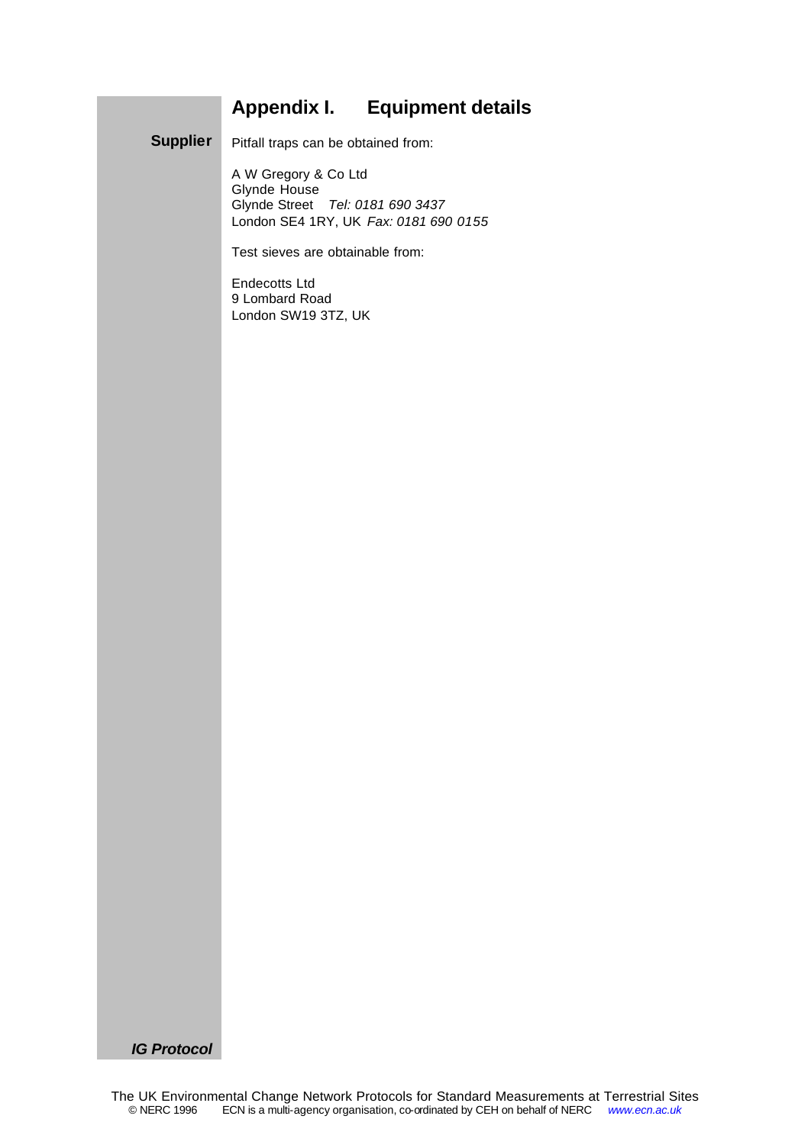# **Appendix I. Equipment details**

Pitfall traps can be obtained from: **Supplier**

> A W Gregory & Co Ltd Glynde House Glynde Street *Tel: 0181 690 3437* London SE4 1RY, UK *Fax: 0181 690 0155*

Test sieves are obtainable from:

Endecotts Ltd 9 Lombard Road London SW19 3TZ, UK

*IG Protocol*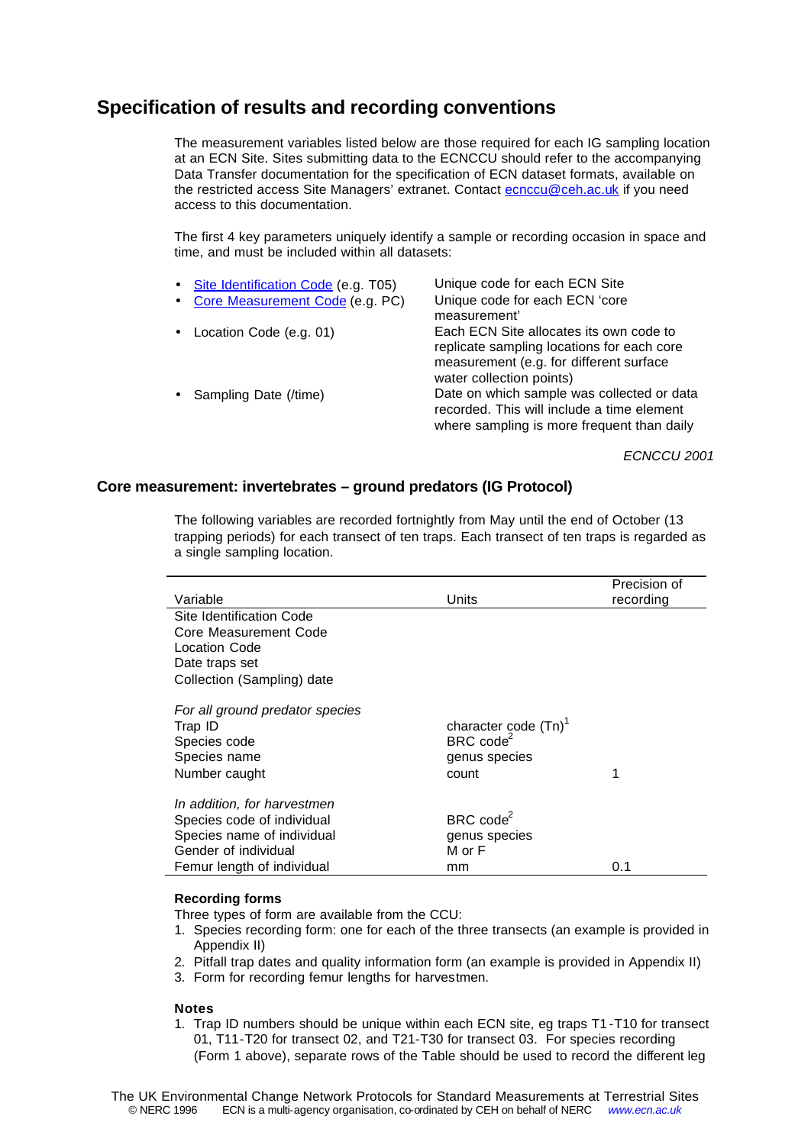## **Specification of results and recording conventions**

The measurement variables listed below are those required for each IG sampling location at an ECN Site. Sites submitting data to the ECNCCU should refer to the accompanying Data Transfer documentation for the specification of ECN dataset formats, available on the restricted access Site Managers' extranet. Contact ecnccu@ceh.ac.uk if you need access to this documentation.

The first 4 key parameters uniquely identify a sample or recording occasion in space and time, and must be included within all datasets:

| • Site Identification Code (e.g. T05)<br>• Core Measurement Code (e.g. PC) | Unique code for each ECN Site<br>Unique code for each ECN 'core<br>measurement'                                                                              |
|----------------------------------------------------------------------------|--------------------------------------------------------------------------------------------------------------------------------------------------------------|
| • Location Code (e.g. 01)                                                  | Each ECN Site allocates its own code to<br>replicate sampling locations for each core<br>measurement (e.g. for different surface<br>water collection points) |
| • Sampling Date (/time)                                                    | Date on which sample was collected or data<br>recorded. This will include a time element<br>where sampling is more frequent than daily                       |

*ECNCCU 2001*

## **Core measurement: invertebrates – ground predators (IG Protocol)**

The following variables are recorded fortnightly from May until the end of October (13 trapping periods) for each transect of ten traps. Each transect of ten traps is regarded as a single sampling location.

|                                 |                         | Precision of |
|---------------------------------|-------------------------|--------------|
| Variable                        | Units                   | recording    |
| Site Identification Code        |                         |              |
| Core Measurement Code           |                         |              |
| Location Code                   |                         |              |
| Date traps set                  |                         |              |
| Collection (Sampling) date      |                         |              |
| For all ground predator species |                         |              |
| Trap ID                         | character code $(Tn)^T$ |              |
| Species code                    | $BRC \text{ code}^2$    |              |
| Species name                    | genus species           |              |
| Number caught                   | count                   | 1            |
| In addition, for harvestmen     |                         |              |
| Species code of individual      | BRC $code^2$            |              |
| Species name of individual      | genus species           |              |
| Gender of individual            | M or F                  |              |
| Femur length of individual      | mm                      | 0.1          |

### **Recording forms**

Three types of form are available from the CCU:

- 1. Species recording form: one for each of the three transects (an example is provided in Appendix II)
- 2. Pitfall trap dates and quality information form (an example is provided in Appendix II)
- 3. Form for recording femur lengths for harvestmen.

### **Notes**

1. Trap ID numbers should be unique within each ECN site, eg traps T1 -T10 for transect 01, T11-T20 for transect 02, and T21-T30 for transect 03. For species recording (Form 1 above), separate rows of the Table should be used to record the different leg